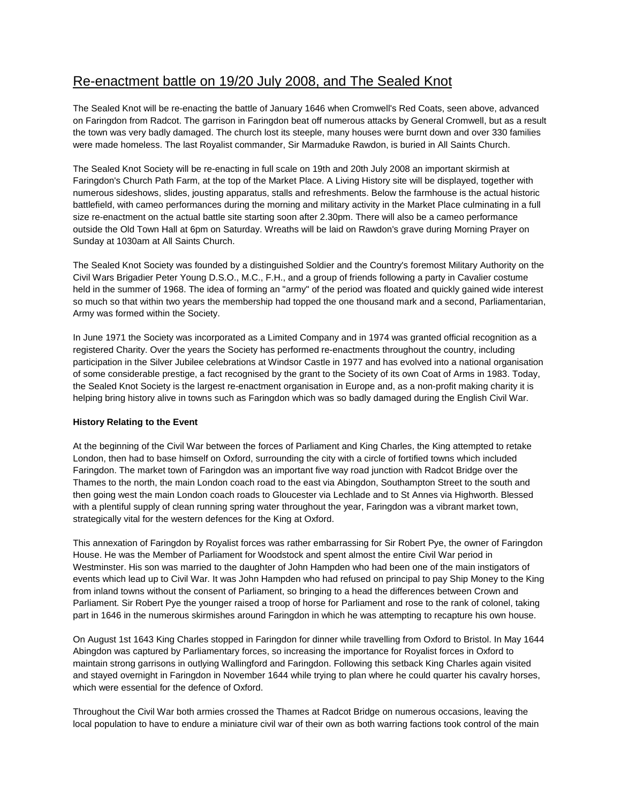## Re-enactment battle on 19/20 July 2008, and The Sealed Knot

The Sealed Knot will be re-enacting the battle of January 1646 when Cromwell's Red Coats, seen above, advanced on Faringdon from Radcot. The garrison in Faringdon beat off numerous attacks by General Cromwell, but as a result the town was very badly damaged. The church lost its steeple, many houses were burnt down and over 330 families were made homeless. The last Royalist commander, Sir Marmaduke Rawdon, is buried in All Saints Church.

The Sealed Knot Society will be re-enacting in full scale on 19th and 20th July 2008 an important skirmish at Faringdon's Church Path Farm, at the top of the Market Place. A Living History site will be displayed, together with numerous sideshows, slides, jousting apparatus, stalls and refreshments. Below the farmhouse is the actual historic battlefield, with cameo performances during the morning and military activity in the Market Place culminating in a full size re-enactment on the actual battle site starting soon after 2.30pm. There will also be a cameo performance outside the Old Town Hall at 6pm on Saturday. Wreaths will be laid on Rawdon's grave during Morning Prayer on Sunday at 1030am at All Saints Church.

The Sealed Knot Society was founded by a distinguished Soldier and the Country's foremost Military Authority on the Civil Wars Brigadier Peter Young D.S.O., M.C., F.H., and a group of friends following a party in Cavalier costume held in the summer of 1968. The idea of forming an "army" of the period was floated and quickly gained wide interest so much so that within two years the membership had topped the one thousand mark and a second, Parliamentarian, Army was formed within the Society.

In June 1971 the Society was incorporated as a Limited Company and in 1974 was granted official recognition as a registered Charity. Over the years the Society has performed re-enactments throughout the country, including participation in the Silver Jubilee celebrations at Windsor Castle in 1977 and has evolved into a national organisation of some considerable prestige, a fact recognised by the grant to the Society of its own Coat of Arms in 1983. Today, the Sealed Knot Society is the largest re-enactment organisation in Europe and, as a non-profit making charity it is helping bring history alive in towns such as Faringdon which was so badly damaged during the English Civil War.

## **History Relating to the Event**

At the beginning of the Civil War between the forces of Parliament and King Charles, the King attempted to retake London, then had to base himself on Oxford, surrounding the city with a circle of fortified towns which included Faringdon. The market town of Faringdon was an important five way road junction with Radcot Bridge over the Thames to the north, the main London coach road to the east via Abingdon, Southampton Street to the south and then going west the main London coach roads to Gloucester via Lechlade and to St Annes via Highworth. Blessed with a plentiful supply of clean running spring water throughout the year, Faringdon was a vibrant market town, strategically vital for the western defences for the King at Oxford.

This annexation of Faringdon by Royalist forces was rather embarrassing for Sir Robert Pye, the owner of Faringdon House. He was the Member of Parliament for Woodstock and spent almost the entire Civil War period in Westminster. His son was married to the daughter of John Hampden who had been one of the main instigators of events which lead up to Civil War. It was John Hampden who had refused on principal to pay Ship Money to the King from inland towns without the consent of Parliament, so bringing to a head the differences between Crown and Parliament. Sir Robert Pye the younger raised a troop of horse for Parliament and rose to the rank of colonel, taking part in 1646 in the numerous skirmishes around Faringdon in which he was attempting to recapture his own house.

On August 1st 1643 King Charles stopped in Faringdon for dinner while travelling from Oxford to Bristol. In May 1644 Abingdon was captured by Parliamentary forces, so increasing the importance for Royalist forces in Oxford to maintain strong garrisons in outlying Wallingford and Faringdon. Following this setback King Charles again visited and stayed overnight in Faringdon in November 1644 while trying to plan where he could quarter his cavalry horses, which were essential for the defence of Oxford.

Throughout the Civil War both armies crossed the Thames at Radcot Bridge on numerous occasions, leaving the local population to have to endure a miniature civil war of their own as both warring factions took control of the main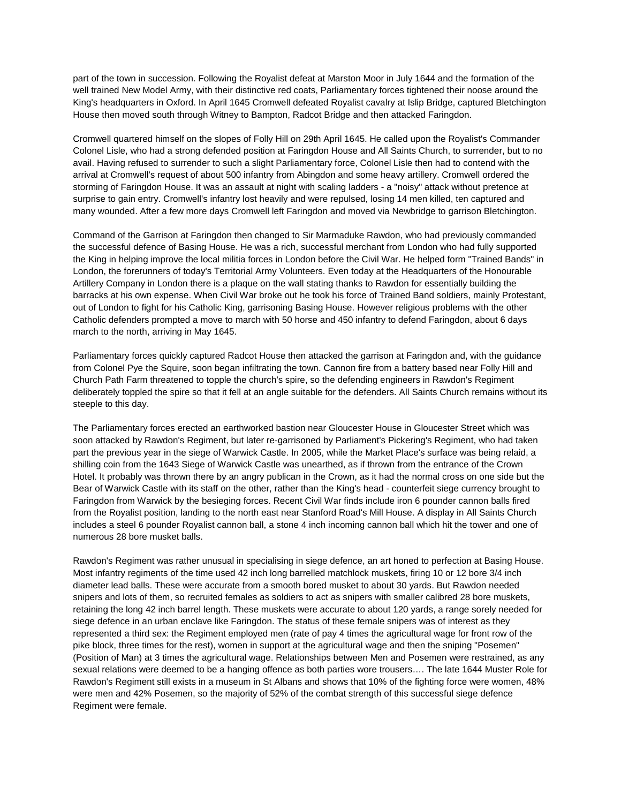part of the town in succession. Following the Royalist defeat at Marston Moor in July 1644 and the formation of the well trained New Model Army, with their distinctive red coats, Parliamentary forces tightened their noose around the King's headquarters in Oxford. In April 1645 Cromwell defeated Royalist cavalry at Islip Bridge, captured Bletchington House then moved south through Witney to Bampton, Radcot Bridge and then attacked Faringdon.

Cromwell quartered himself on the slopes of Folly Hill on 29th April 1645. He called upon the Royalist's Commander Colonel Lisle, who had a strong defended position at Faringdon House and All Saints Church, to surrender, but to no avail. Having refused to surrender to such a slight Parliamentary force, Colonel Lisle then had to contend with the arrival at Cromwell's request of about 500 infantry from Abingdon and some heavy artillery. Cromwell ordered the storming of Faringdon House. It was an assault at night with scaling ladders - a "noisy" attack without pretence at surprise to gain entry. Cromwell's infantry lost heavily and were repulsed, losing 14 men killed, ten captured and many wounded. After a few more days Cromwell left Faringdon and moved via Newbridge to garrison Bletchington.

Command of the Garrison at Faringdon then changed to Sir Marmaduke Rawdon, who had previously commanded the successful defence of Basing House. He was a rich, successful merchant from London who had fully supported the King in helping improve the local militia forces in London before the Civil War. He helped form "Trained Bands" in London, the forerunners of today's Territorial Army Volunteers. Even today at the Headquarters of the Honourable Artillery Company in London there is a plaque on the wall stating thanks to Rawdon for essentially building the barracks at his own expense. When Civil War broke out he took his force of Trained Band soldiers, mainly Protestant, out of London to fight for his Catholic King, garrisoning Basing House. However religious problems with the other Catholic defenders prompted a move to march with 50 horse and 450 infantry to defend Faringdon, about 6 days march to the north, arriving in May 1645.

Parliamentary forces quickly captured Radcot House then attacked the garrison at Faringdon and, with the guidance from Colonel Pye the Squire, soon began infiltrating the town. Cannon fire from a battery based near Folly Hill and Church Path Farm threatened to topple the church's spire, so the defending engineers in Rawdon's Regiment deliberately toppled the spire so that it fell at an angle suitable for the defenders. All Saints Church remains without its steeple to this day.

The Parliamentary forces erected an earthworked bastion near Gloucester House in Gloucester Street which was soon attacked by Rawdon's Regiment, but later re-garrisoned by Parliament's Pickering's Regiment, who had taken part the previous year in the siege of Warwick Castle. In 2005, while the Market Place's surface was being relaid, a shilling coin from the 1643 Siege of Warwick Castle was unearthed, as if thrown from the entrance of the Crown Hotel. It probably was thrown there by an angry publican in the Crown, as it had the normal cross on one side but the Bear of Warwick Castle with its staff on the other, rather than the King's head - counterfeit siege currency brought to Faringdon from Warwick by the besieging forces. Recent Civil War finds include iron 6 pounder cannon balls fired from the Royalist position, landing to the north east near Stanford Road's Mill House. A display in All Saints Church includes a steel 6 pounder Royalist cannon ball, a stone 4 inch incoming cannon ball which hit the tower and one of numerous 28 bore musket balls.

Rawdon's Regiment was rather unusual in specialising in siege defence, an art honed to perfection at Basing House. Most infantry regiments of the time used 42 inch long barrelled matchlock muskets, firing 10 or 12 bore 3/4 inch diameter lead balls. These were accurate from a smooth bored musket to about 30 yards. But Rawdon needed snipers and lots of them, so recruited females as soldiers to act as snipers with smaller calibred 28 bore muskets, retaining the long 42 inch barrel length. These muskets were accurate to about 120 yards, a range sorely needed for siege defence in an urban enclave like Faringdon. The status of these female snipers was of interest as they represented a third sex: the Regiment employed men (rate of pay 4 times the agricultural wage for front row of the pike block, three times for the rest), women in support at the agricultural wage and then the sniping "Posemen" (Position of Man) at 3 times the agricultural wage. Relationships between Men and Posemen were restrained, as any sexual relations were deemed to be a hanging offence as both parties wore trousers…. The late 1644 Muster Role for Rawdon's Regiment still exists in a museum in St Albans and shows that 10% of the fighting force were women, 48% were men and 42% Posemen, so the majority of 52% of the combat strength of this successful siege defence Regiment were female.